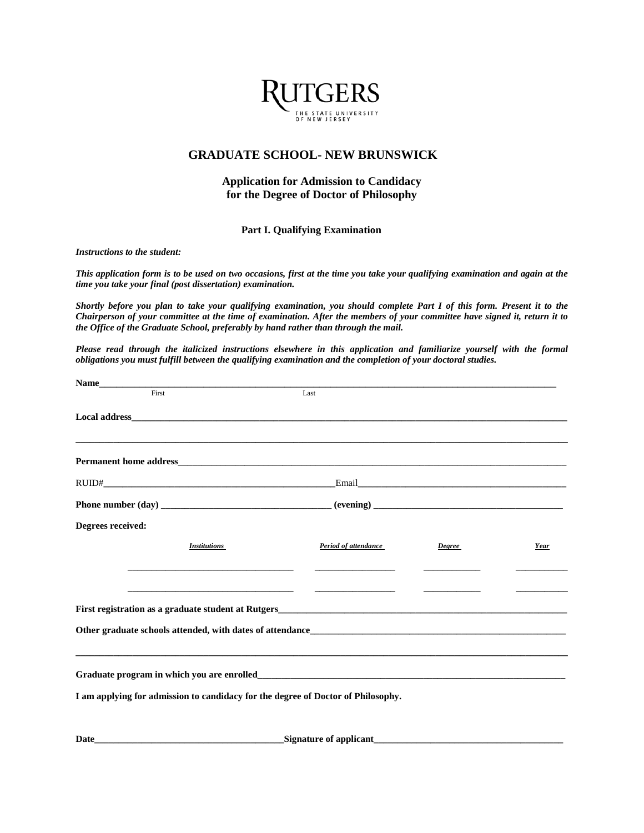

## **GRADUATE SCHOOL- NEW BRUNSWICK**

## **Application for Admission to Candidacy for the Degree of Doctor of Philosophy**

## **Part I. Qualifying Examination**

*Instructions to the student:*

*This application form is to be used on two occasions, first at the time you take your qualifying examination and again at the time you take your final (post dissertation) examination.*

*Shortly before you plan to take your qualifying examination, you should complete Part I of this form. Present it to the Chairperson of your committee at the time of examination. After the members of your committee have signed it, return it to the Office of the Graduate School, preferably by hand rather than through the mail.*

*Please read through the italicized instructions elsewhere in this application and familiarize yourself with the formal obligations you must fulfill between the qualifying examination and the completion of your doctoral studies.*

| Name                                                                                                                  |                                                                                                                |               |      |  |  |  |
|-----------------------------------------------------------------------------------------------------------------------|----------------------------------------------------------------------------------------------------------------|---------------|------|--|--|--|
| First                                                                                                                 | Last                                                                                                           |               |      |  |  |  |
|                                                                                                                       |                                                                                                                |               |      |  |  |  |
| ,我们也不能会在这里,我们的人们就会不能会在这里,我们也不能会不能会不能会不能会不能会不能会不能会不能会。""我们的人们就会不能会不能会不能会不能会不能会不能会                                      |                                                                                                                |               |      |  |  |  |
|                                                                                                                       | Email 2008 - 2008 - 2019 - 2019 - 2019 - 2019 - 2019 - 2019 - 2019 - 2019 - 2019 - 2019 - 2019 - 2019 - 2019 - |               |      |  |  |  |
|                                                                                                                       |                                                                                                                |               |      |  |  |  |
| Degrees received:                                                                                                     |                                                                                                                |               |      |  |  |  |
| <b>Institutions</b>                                                                                                   | Period of attendance                                                                                           | <b>Degree</b> | Year |  |  |  |
|                                                                                                                       |                                                                                                                |               |      |  |  |  |
| <u> 1989 - Johann Harry Harry Harry Harry Harry Harry Harry Harry Harry Harry Harry Harry Harry Harry Harry Harry</u> |                                                                                                                |               |      |  |  |  |
|                                                                                                                       |                                                                                                                |               |      |  |  |  |
|                                                                                                                       |                                                                                                                |               |      |  |  |  |
| ,我们也不能在这里的,我们也不能在这里的时候,我们也不能不能不能不能不能不能不能不能不能不能不能不能不能不能不能不能。""我们,我们也不能不能不能不能不能不能不                                      |                                                                                                                |               |      |  |  |  |
|                                                                                                                       |                                                                                                                |               |      |  |  |  |
| I am applying for admission to candidacy for the degree of Doctor of Philosophy.                                      |                                                                                                                |               |      |  |  |  |
|                                                                                                                       |                                                                                                                |               |      |  |  |  |
|                                                                                                                       |                                                                                                                |               |      |  |  |  |

**Date\_\_\_\_\_\_\_\_\_\_\_\_\_\_\_\_\_\_\_\_\_\_\_\_\_\_\_\_\_\_\_\_\_\_\_\_\_\_\_\_Signature of applicant\_\_\_\_\_\_\_\_\_\_\_\_\_\_\_\_\_\_\_\_\_\_\_\_\_\_\_\_\_\_\_\_\_\_\_\_\_\_\_\_**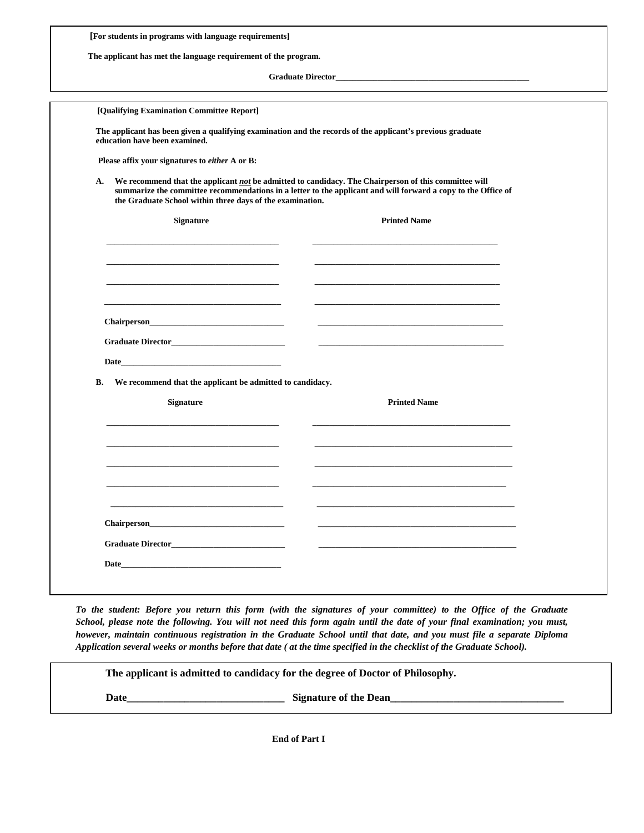| [For students in programs with language requirements]                                                                                                                   |                                                                                                               |
|-------------------------------------------------------------------------------------------------------------------------------------------------------------------------|---------------------------------------------------------------------------------------------------------------|
| The applicant has met the language requirement of the program.                                                                                                          |                                                                                                               |
|                                                                                                                                                                         |                                                                                                               |
|                                                                                                                                                                         |                                                                                                               |
| [Qualifying Examination Committee Report]                                                                                                                               |                                                                                                               |
| The applicant has been given a qualifying examination and the records of the applicant's previous graduate<br>education have been examined.                             |                                                                                                               |
| Please affix your signatures to either A or B:                                                                                                                          |                                                                                                               |
| We recommend that the applicant not be admitted to candidacy. The Chairperson of this committee will<br>А.<br>the Graduate School within three days of the examination. | summarize the committee recommendations in a letter to the applicant and will forward a copy to the Office of |
| <b>Signature</b>                                                                                                                                                        | <b>Printed Name</b>                                                                                           |
|                                                                                                                                                                         |                                                                                                               |
|                                                                                                                                                                         |                                                                                                               |
|                                                                                                                                                                         |                                                                                                               |
|                                                                                                                                                                         |                                                                                                               |
|                                                                                                                                                                         |                                                                                                               |
|                                                                                                                                                                         |                                                                                                               |
| <b>B.</b><br>We recommend that the applicant be admitted to candidacy.                                                                                                  |                                                                                                               |
| <b>Signature</b>                                                                                                                                                        | <b>Printed Name</b>                                                                                           |
|                                                                                                                                                                         |                                                                                                               |
|                                                                                                                                                                         |                                                                                                               |
|                                                                                                                                                                         |                                                                                                               |
|                                                                                                                                                                         |                                                                                                               |
|                                                                                                                                                                         |                                                                                                               |
| Chairperson_                                                                                                                                                            |                                                                                                               |
| Graduate Director                                                                                                                                                       |                                                                                                               |
| Date_                                                                                                                                                                   |                                                                                                               |
|                                                                                                                                                                         |                                                                                                               |

*To the student: Before you return this form (with the signatures of your committee) to the Office of the Graduate School, please note the following. You will not need this form again until the date of your final examination; you must, however, maintain continuous registration in the Graduate School until that date, and you must file a separate Diploma Application several weeks or months before that date ( at the time specified in the checklist of the Graduate School).*

**The applicant is admitted to candidacy for the degree of Doctor of Philosophy.**

 **Date\_\_\_\_\_\_\_\_\_\_\_\_\_\_\_\_\_\_\_\_\_\_\_\_\_\_\_\_\_\_ Signature of the Dean\_\_\_\_\_\_\_\_\_\_\_\_\_\_\_\_\_\_\_\_\_\_\_\_\_\_\_\_\_\_\_\_\_**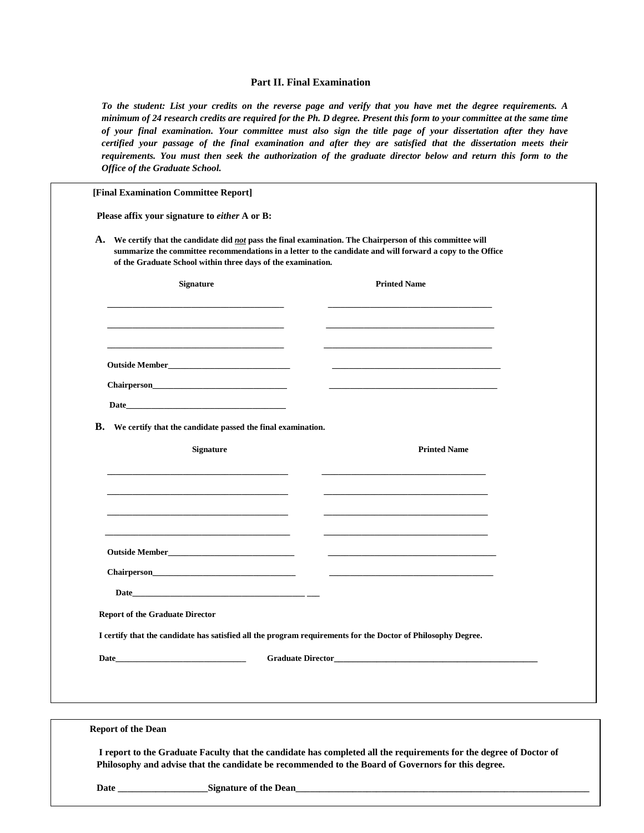## **Part II. Final Examination**

*To the student: List your credits on the reverse page and verify that you have met the degree requirements. A minimum of 24 research credits are required for the Ph. D degree. Present this form to your committee at the same time of your final examination. Your committee must also sign the title page of your dissertation after they have certified your passage of the final examination and after they are satisfied that the dissertation meets their requirements. You must then seek the authorization of the graduate director below and return this form to the Office of the Graduate School.*

| Please affix your signature to either A or B:                                                                                                                                                                                                                                                    |                          |  |  |  |
|--------------------------------------------------------------------------------------------------------------------------------------------------------------------------------------------------------------------------------------------------------------------------------------------------|--------------------------|--|--|--|
| A. We certify that the candidate did <i>not</i> pass the final examination. The Chairperson of this committee will<br>summarize the committee recommendations in a letter to the candidate and will forward a copy to the Office<br>of the Graduate School within three days of the examination. |                          |  |  |  |
| Signature                                                                                                                                                                                                                                                                                        | <b>Printed Name</b>      |  |  |  |
|                                                                                                                                                                                                                                                                                                  |                          |  |  |  |
|                                                                                                                                                                                                                                                                                                  |                          |  |  |  |
|                                                                                                                                                                                                                                                                                                  |                          |  |  |  |
| B. We certify that the candidate passed the final examination.                                                                                                                                                                                                                                   |                          |  |  |  |
| <b>Signature</b>                                                                                                                                                                                                                                                                                 | <b>Printed Name</b>      |  |  |  |
|                                                                                                                                                                                                                                                                                                  |                          |  |  |  |
|                                                                                                                                                                                                                                                                                                  |                          |  |  |  |
|                                                                                                                                                                                                                                                                                                  |                          |  |  |  |
|                                                                                                                                                                                                                                                                                                  |                          |  |  |  |
|                                                                                                                                                                                                                                                                                                  |                          |  |  |  |
| $Chairperson$                                                                                                                                                                                                                                                                                    | $\overline{\phantom{a}}$ |  |  |  |
| Date and the contract of the contract of the contract of the contract of the contract of the contract of the contract of the contract of the contract of the contract of the contract of the contract of the contract of the c                                                                   |                          |  |  |  |
| <b>Report of the Graduate Director</b>                                                                                                                                                                                                                                                           |                          |  |  |  |
| I certify that the candidate has satisfied all the program requirements for the Doctor of Philosophy Degree.                                                                                                                                                                                     |                          |  |  |  |
| <b>Graduate Director_</b><br>Date_                                                                                                                                                                                                                                                               |                          |  |  |  |
|                                                                                                                                                                                                                                                                                                  |                          |  |  |  |
| <b>Report of the Dean</b>                                                                                                                                                                                                                                                                        |                          |  |  |  |

**Date \_\_\_\_\_\_\_\_\_\_\_\_\_\_\_\_\_\_\_Signature of the Dean\_\_\_\_\_\_\_\_\_\_\_\_\_\_\_\_\_\_\_\_\_\_\_\_\_\_\_\_\_\_\_\_\_\_\_\_\_\_\_\_\_\_\_\_\_\_\_\_\_\_\_\_\_\_\_\_\_\_\_\_\_\_**